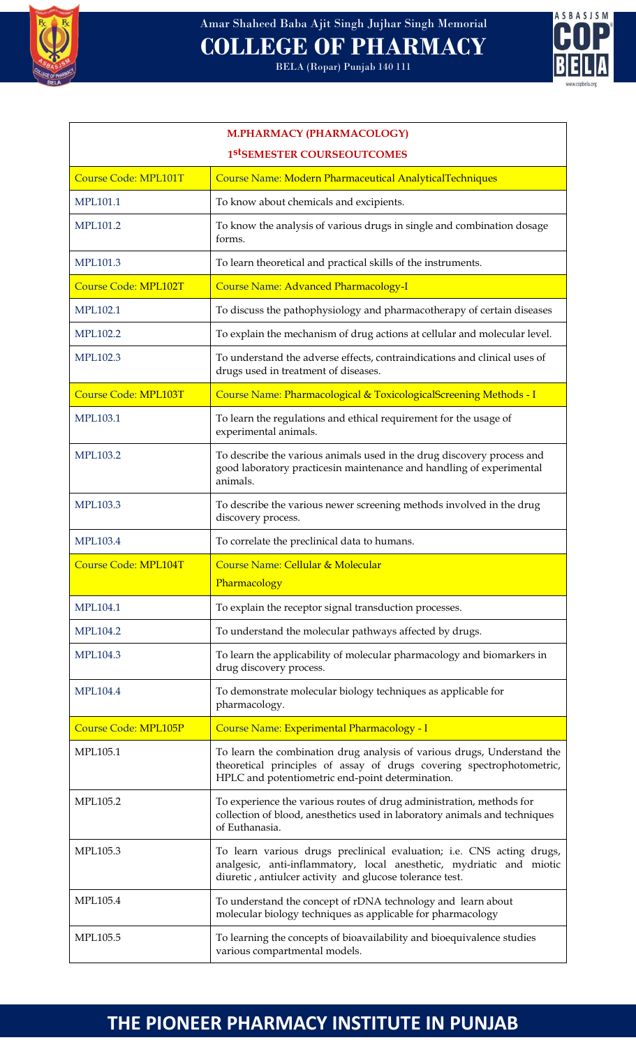

# Amar Shaheed Baba Ajit Singh Jujhar Singh Memorial **COLLEGE OF PHARMACY**

BELA (Ropar) Punjab 140 111



| <b>M.PHARMACY (PHARMACOLOGY)</b> |                                                                                                                                                                                                           |  |
|----------------------------------|-----------------------------------------------------------------------------------------------------------------------------------------------------------------------------------------------------------|--|
| 1stSEMESTER COURSEOUTCOMES       |                                                                                                                                                                                                           |  |
| Course Code: MPL101T             | Course Name: Modern Pharmaceutical AnalyticalTechniques                                                                                                                                                   |  |
| MPL101.1                         | To know about chemicals and excipients.                                                                                                                                                                   |  |
| MPL101.2                         | To know the analysis of various drugs in single and combination dosage<br>forms.                                                                                                                          |  |
| MPL101.3                         | To learn theoretical and practical skills of the instruments.                                                                                                                                             |  |
| <b>Course Code: MPL102T</b>      | <b>Course Name: Advanced Pharmacology-I</b>                                                                                                                                                               |  |
| MPL102.1                         | To discuss the pathophysiology and pharmacotherapy of certain diseases                                                                                                                                    |  |
| <b>MPL102.2</b>                  | To explain the mechanism of drug actions at cellular and molecular level.                                                                                                                                 |  |
| MPL102.3                         | To understand the adverse effects, contraindications and clinical uses of<br>drugs used in treatment of diseases.                                                                                         |  |
| <b>Course Code: MPL103T</b>      | Course Name: Pharmacological & ToxicologicalScreening Methods - I                                                                                                                                         |  |
| <b>MPL103.1</b>                  | To learn the regulations and ethical requirement for the usage of<br>experimental animals.                                                                                                                |  |
| <b>MPL103.2</b>                  | To describe the various animals used in the drug discovery process and<br>good laboratory practicesin maintenance and handling of experimental<br>animals.                                                |  |
| MPL103.3                         | To describe the various newer screening methods involved in the drug<br>discovery process.                                                                                                                |  |
| MPL103.4                         | To correlate the preclinical data to humans.                                                                                                                                                              |  |
| <b>Course Code: MPL104T</b>      | Course Name: Cellular & Molecular<br>Pharmacology                                                                                                                                                         |  |
| <b>MPL104.1</b>                  | To explain the receptor signal transduction processes.                                                                                                                                                    |  |
| MPL104.2                         | To understand the molecular pathways affected by drugs.                                                                                                                                                   |  |
| MPL104.3                         | To learn the applicability of molecular pharmacology and biomarkers in<br>drug discovery process.                                                                                                         |  |
| <b>MPL104.4</b>                  | To demonstrate molecular biology techniques as applicable for<br>pharmacology.                                                                                                                            |  |
| <b>Course Code: MPL105P</b>      | Course Name: Experimental Pharmacology - I                                                                                                                                                                |  |
| MPL105.1                         | To learn the combination drug analysis of various drugs, Understand the<br>theoretical principles of assay of drugs covering spectrophotometric,<br>HPLC and potentiometric end-point determination.      |  |
| MPL105.2                         | To experience the various routes of drug administration, methods for<br>collection of blood, anesthetics used in laboratory animals and techniques<br>of Euthanasia.                                      |  |
| MPL105.3                         | To learn various drugs preclinical evaluation; i.e. CNS acting drugs,<br>analgesic, anti-inflammatory, local anesthetic, mydriatic and miotic<br>diuretic, antiulcer activity and glucose tolerance test. |  |
| MPL105.4                         | To understand the concept of rDNA technology and learn about<br>molecular biology techniques as applicable for pharmacology                                                                               |  |
| MPL105.5                         | To learning the concepts of bioavailability and bioequivalence studies<br>various compartmental models.                                                                                                   |  |

## **THE PIONEER PHARMACY INSTITUTE IN PUNJAB**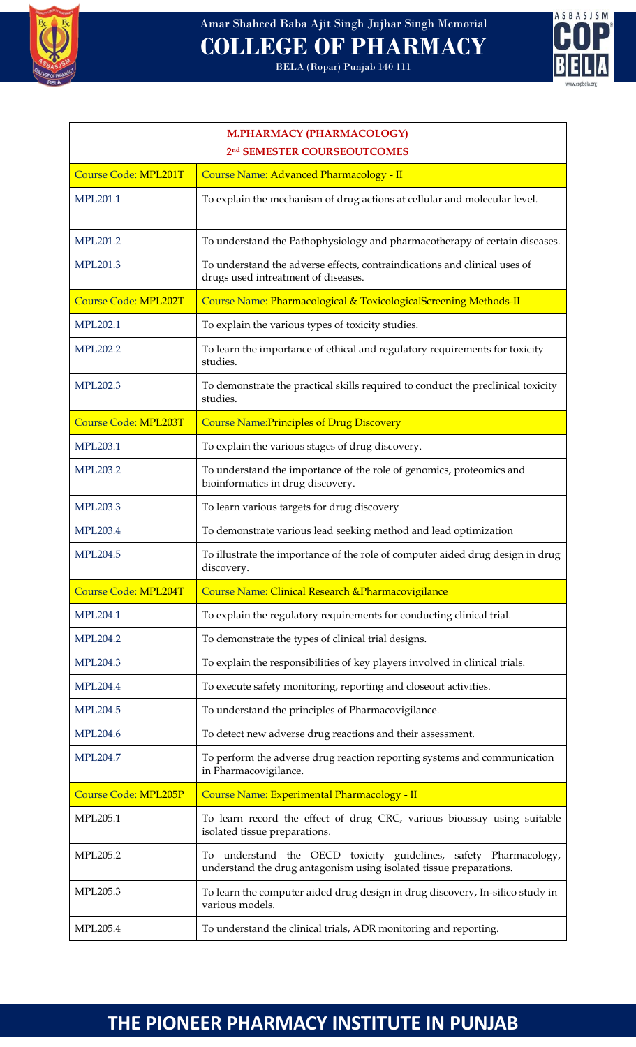

BELA (Ropar) Punjab 140 111



#### **M.PHARMACY (PHARMACOLOGY) 2 nd SEMESTER COURSEOUTCOMES**

| <b>Course Code: MPL201T</b> | Course Name: Advanced Pharmacology - II                                                                                                |
|-----------------------------|----------------------------------------------------------------------------------------------------------------------------------------|
| MPL201.1                    | To explain the mechanism of drug actions at cellular and molecular level.                                                              |
| MPL201.2                    | To understand the Pathophysiology and pharmacotherapy of certain diseases.                                                             |
| MPL201.3                    | To understand the adverse effects, contraindications and clinical uses of<br>drugs used intreatment of diseases.                       |
| <b>Course Code: MPL202T</b> | Course Name: Pharmacological & ToxicologicalScreening Methods-II                                                                       |
| <b>MPL202.1</b>             | To explain the various types of toxicity studies.                                                                                      |
| <b>MPL202.2</b>             | To learn the importance of ethical and regulatory requirements for toxicity<br>studies.                                                |
| MPL202.3                    | To demonstrate the practical skills required to conduct the preclinical toxicity<br>studies.                                           |
| <b>Course Code: MPL203T</b> | <b>Course Name: Principles of Drug Discovery</b>                                                                                       |
| MPL203.1                    | To explain the various stages of drug discovery.                                                                                       |
| <b>MPL203.2</b>             | To understand the importance of the role of genomics, proteomics and<br>bioinformatics in drug discovery.                              |
| MPL203.3                    | To learn various targets for drug discovery                                                                                            |
| <b>MPL203.4</b>             | To demonstrate various lead seeking method and lead optimization                                                                       |
| <b>MPL204.5</b>             | To illustrate the importance of the role of computer aided drug design in drug<br>discovery.                                           |
| <b>Course Code: MPL204T</b> | Course Name: Clinical Research & Pharmacovigilance                                                                                     |
| <b>MPL204.1</b>             | To explain the regulatory requirements for conducting clinical trial.                                                                  |
| <b>MPL204.2</b>             | To demonstrate the types of clinical trial designs.                                                                                    |
| MPL204.3                    | To explain the responsibilities of key players involved in clinical trials.                                                            |
| <b>MPL204.4</b>             | To execute safety monitoring, reporting and closeout activities.                                                                       |
| MPL204.5                    | To understand the principles of Pharmacovigilance.                                                                                     |
| <b>MPL204.6</b>             | To detect new adverse drug reactions and their assessment.                                                                             |
| <b>MPL204.7</b>             | To perform the adverse drug reaction reporting systems and communication<br>in Pharmacovigilance.                                      |
| <b>Course Code: MPL205P</b> | Course Name: Experimental Pharmacology - II                                                                                            |
| MPL205.1                    | To learn record the effect of drug CRC, various bioassay using suitable<br>isolated tissue preparations.                               |
| MPL205.2                    | To understand the OECD toxicity guidelines, safety Pharmacology,<br>understand the drug antagonism using isolated tissue preparations. |
| MPL205.3                    | To learn the computer aided drug design in drug discovery, In-silico study in<br>various models.                                       |
| MPL205.4                    | To understand the clinical trials, ADR monitoring and reporting.                                                                       |

### **THE PIONEER PHARMACY INSTITUTE IN PUNJAB**